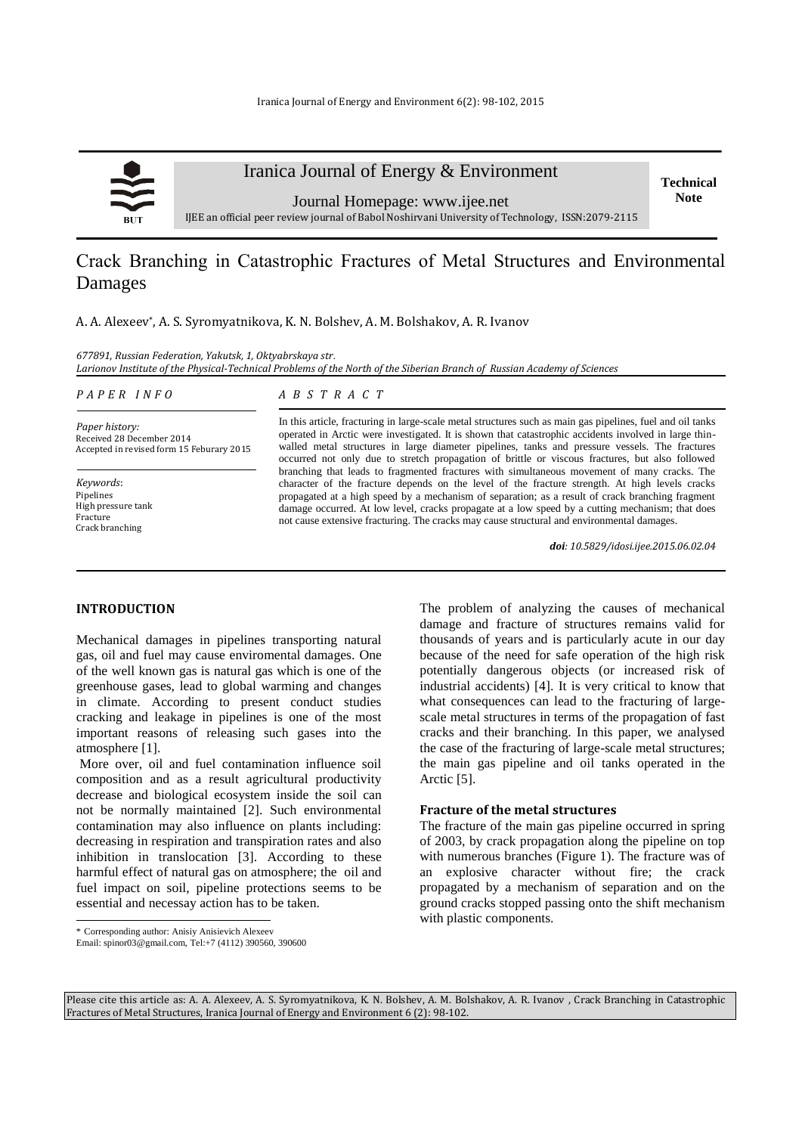

# Iranica Journal of Energy & Environment

Journal Homepage: [www.ijee.net](http://www.ijee.net/) IJEE an official peer review journal of Babol Noshirvani University of Technology, ISSN:2079-2115

# Сrack Branching in Catastrophic Fractures of Metal Structures and Environmental Damages

A. A. Alexeev\* , A. S. Syromyatnikova, K. N. Bolshev, A. M. Bolshakov, A. R. Ivanov

*677891, Russian Federation, Yakutsk, 1, Oktyabrskaya str*. *Larionov Institute of the Physical-Technical Problems of the North of the Siberian Branch of Russian Academy of Sciences*

| PAPER INFO |  |  |
|------------|--|--|
|------------|--|--|

#### *A B S T R A C T*

*Paper history:* Received 28 December 2014 Accepted in revised form 15 Feburary 2015

*Keywords*: Pipelines High pressure tank Fracture Crack branching

In this article, fracturing in large-scale metal structures such as main gas pipelines, fuel and oil tanks operated in Arctic were investigated. It is shown that catastrophic accidents involved in large thinwalled metal structures in large diameter pipelines, tanks and pressure vessels. The fractures occurred not only due to stretch propagation of brittle or viscous fractures, but also followed branching that leads to fragmented fractures with simultaneous movement of many cracks. The character of the fracture depends on the level of the fracture strength. At high levels cracks propagated at a high speed by a mechanism of separation; as a result of crack branching fragment damage occurred. At low level, cracks propagate at a low speed by a cutting mechanism; that does not cause extensive fracturing. The cracks may cause structural and environmental damages.

*doi: 10.5829/idosi.ijee.2015.06.02.04*

#### **INTRODUCTION<sup>1</sup>**

Mechanical damages in pipelines transporting natural gas, oil and fuel may cause enviromental damages. One of the well known gas is natural gas which is one of the greenhouse gases, lead to global warming and changes in climate. According to present conduct studies cracking and leakage in pipelines is one of the most important reasons of releasing such gases into the atmosphere [1].

More over, oil and fuel contamination influence soil composition and as a result agricultural productivity decrease and biological ecosystem inside the soil can not be normally maintained [2]. Such environmental contamination may also influence on plants including: decreasing in respiration and transpiration rates and also inhibition in translocation [3]. According to these harmful effect of natural gas on atmosphere; the oil and fuel impact on soil, pipeline protections seems to be essential and necessay action has to be taken.

The problem of analyzing the causes of mechanical damage and fracture of structures remains valid for thousands of years and is particularly acute in our day because of the need for safe operation of the high risk potentially dangerous objects (or increased risk of industrial accidents) [4]. It is very critical to know that what consequences can lead to the fracturing of largescale metal structures in terms of the propagation of fast cracks and their branching. In this paper, we analysed the case of the fracturing of large-scale metal structures; the main gas pipeline and oil tanks operated in the Arctic [5].

# **Fracture of the metal structures**

The fracture of the main gas pipeline occurred in spring of 2003, by crack propagation along the pipeline on top with numerous branches (Figure 1). The fracture was of an explosive character without fire; the crack propagated by a mechanism of separation and on the ground cracks stopped passing onto the shift mechanism with plastic components.

 $\overline{a}$ 

Please cite this article as: A. A. Alexeev, A. S. Syromyatnikova, K. N. Bolshev, A. M. Bolshakov, A. R. Ivanov , Сrack Branching in Catastrophic Fractures of Metal Structures, Iranica Journal of Energy and Environment 6 (2): 98-102.

**Technical Note**

<sup>\*</sup> Corresponding author: Anisiy Anisievich Alexeev

Email: spinor03@gmail.com, Tel:+7 (4112) 390560, 390600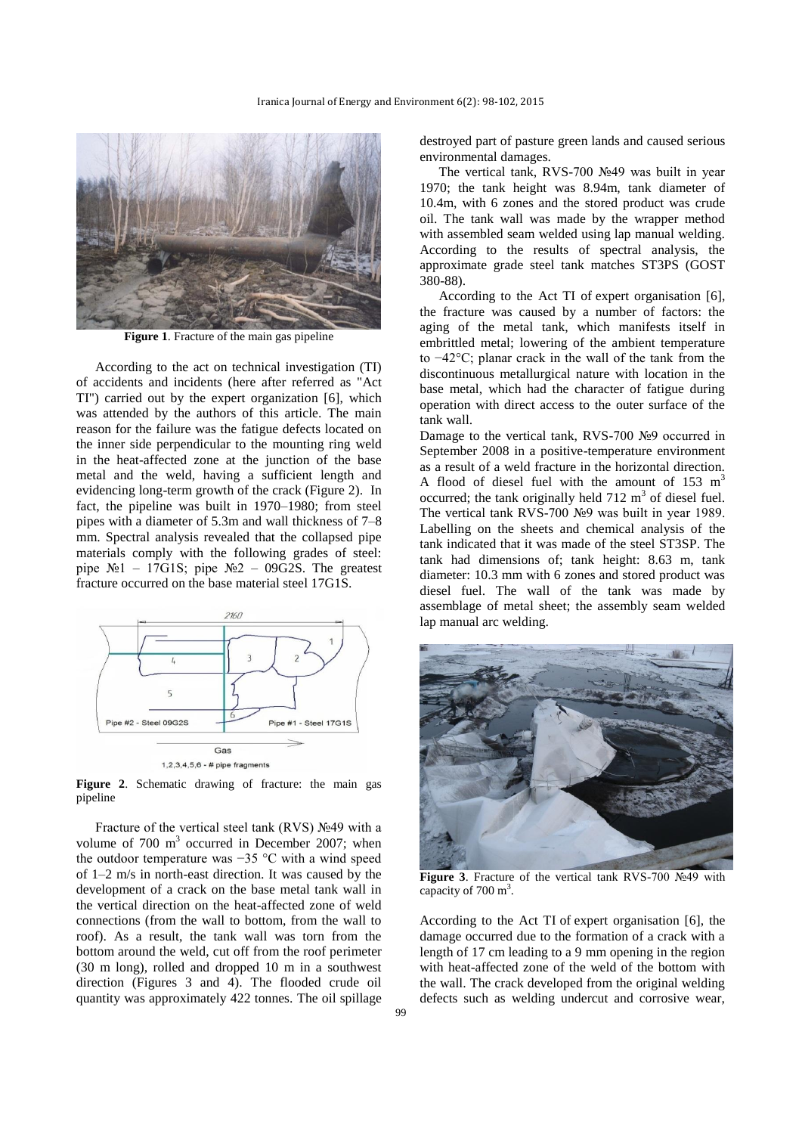

**Figure 1**. Fracture of the main gas pipeline

According to the act on technical investigation (TI) of accidents and incidents (here after referred as "Act TI") carried out by the expert organization [6], which was attended by the authors of this article. The main reason for the failure was the fatigue defects located on the inner side perpendicular to the mounting ring weld in the heat-affected zone at the junction of the base metal and the weld, having a sufficient length and evidencing long-term growth of the crack (Figure 2). In fact, the pipeline was built in 1970–1980; from steel pipes with a diameter of 5.3m and wall thickness of 7–8 mm. Spectral analysis revealed that the collapsed pipe materials comply with the following grades of steel: pipe  $\mathcal{N} \geq 1 - 17G1S$ ; pipe  $\mathcal{N} \geq 2 - 09G2S$ . The greatest fracture occurred on the base material steel 17G1S.



**Figure 2**. Schematic drawing of fracture: the main gas pipeline

Fracture of the vertical steel tank (RVS) №49 with a volume of  $700 \text{ m}^3$  occurred in December 2007; when the outdoor temperature was −35 °C with a wind speed of 1–2 m/s in north-east direction. It was caused by the development of a crack on the base metal tank wall in the vertical direction on the heat-affected zone of weld connections (from the wall to bottom, from the wall to roof). As a result, the tank wall was torn from the bottom around the weld, cut off from the roof perimeter (30 m long), rolled and dropped 10 m in a southwest direction (Figures 3 and 4). The flooded crude oil quantity was approximately 422 tonnes. The oil spillage destroyed part of pasture green lands and caused serious environmental damages.

The vertical tank, RVS-700 №49 was built in year 1970; the tank height was 8.94m, tank diameter of 10.4m, with 6 zones and the stored product was crude oil. The tank wall was made by the wrapper method with assembled seam welded using lap manual welding. According to the results of spectral analysis, the approximate grade steel tank matches ST3PS (GOST 380-88).

According to the Act TI of expert organisation [6], the fracture was caused by a number of factors: the aging of the metal tank, which manifests itself in embrittled metal; lowering of the ambient temperature to −42°C; planar crack in the wall of the tank from the discontinuous metallurgical nature with location in the base metal, which had the character of fatigue during operation with direct access to the outer surface of the tank wall.

Damage to the vertical tank, RVS-700 №9 occurred in September 2008 in a positive-temperature environment as a result of a weld fracture in the horizontal direction. A flood of diesel fuel with the amount of  $153 \text{ m}^3$ occurred; the tank originally held  $712 \text{ m}^3$  of diesel fuel. The vertical tank RVS-700 №9 was built in year 1989. Labelling on the sheets and chemical analysis of the tank indicated that it was made of the steel ST3SP. The tank had dimensions of; tank height: 8.63 m, tank diameter: 10.3 mm with 6 zones and stored product was diesel fuel. The wall of the tank was made by assemblage of metal sheet; the assembly seam welded lap manual arc welding.



**Figure 3**. Fracture of the vertical tank RVS-700 №49 with capacity of 700 m<sup>3</sup>.

According to the Act TI of expert organisation [6], the damage occurred due to the formation of a crack with a length of 17 cm leading to a 9 mm opening in the region with heat-affected zone of the weld of the bottom with the wall. The crack developed from the original welding defects such as welding undercut and corrosive wear,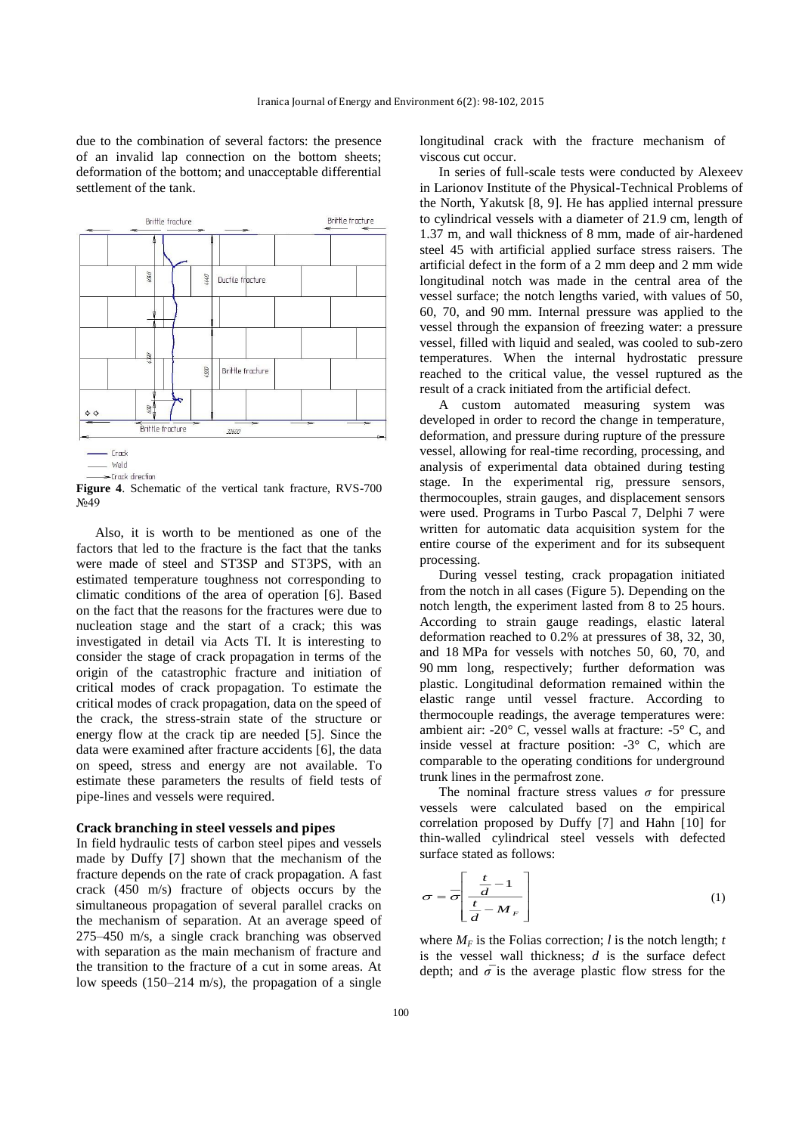due to the combination of several factors: the presence of an invalid lap connection on the bottom sheets; deformation of the bottom; and unacceptable differential settlement of the tank.



weld

**Figure 4**. Schematic of the vertical tank fracture, RVS-700 N<sub>0</sub>49

Also, it is worth to be mentioned as one of the factors that led to the fracture is the fact that the tanks were made of steel and ST3SP and ST3PS, with an estimated temperature toughness not corresponding to climatic conditions of the area of operation [6]. Based on the fact that the reasons for the fractures were due to nucleation stage and the start of a crack; this was investigated in detail via Acts TI. It is interesting to consider the stage of crack propagation in terms of the origin of the catastrophic fracture and initiation of critical modes of crack propagation. To estimate the critical modes of crack propagation, data on the speed of the crack, the stress-strain state of the structure or energy flow at the crack tip are needed [5]. Since the data were examined after fracture accidents [6], the data on speed, stress and energy are not available. To estimate these parameters the results of field tests of pipe-lines and vessels were required.

#### **Crack branching in steel vessels and pipes**

In field hydraulic tests of carbon steel pipes and vessels made by Duffy [7] shown that the mechanism of the fracture depends on the rate of crack propagation. A fast crack (450 m/s) fracture of objects occurs by the simultaneous propagation of several parallel cracks on the mechanism of separation. At an average speed of 275–450 m/s, a single crack branching was observed with separation as the main mechanism of fracture and the transition to the fracture of a cut in some areas. At low speeds  $(150-214 \text{ m/s})$ , the propagation of a single

longitudinal crack with the fracture mechanism of viscous cut occur.

In series of full-scale tests were conducted by Alexeev in Larionov Institute of the Physical-Technical Problems of the North, Yakutsk [8, 9]. He has applied internal pressure to cylindrical vessels with a diameter of 21.9 cm, length of 1.37 m, and wall thickness of 8 mm, made of air-hardened steel 45 with artificial applied surface stress raisers. The artificial defect in the form of a 2 mm deep and 2 mm wide longitudinal notch was made in the central area of the vessel surface; the notch lengths varied, with values of 50, 60, 70, and 90 mm. Internal pressure was applied to the vessel through the expansion of freezing water: a pressure vessel, filled with liquid and sealed, was cooled to sub-zero temperatures. When the internal hydrostatic pressure reached to the critical value, the vessel ruptured as the result of a crack initiated from the artificial defect.

A custom automated measuring system was developed in order to record the change in temperature, deformation, and pressure during rupture of the pressure vessel, allowing for real-time recording, processing, and analysis of experimental data obtained during testing stage. In the experimental rig, pressure sensors, thermocouples, strain gauges, and displacement sensors were used. Programs in Turbo Pascal 7, Delphi 7 were written for automatic data acquisition system for the entire course of the experiment and for its subsequent processing.

During vessel testing, crack propagation initiated from the notch in all cases (Figure 5). Depending on the notch length, the experiment lasted from 8 to 25 hours. According to strain gauge readings, elastic lateral deformation reached to 0.2% at pressures of 38, 32, 30, and 18 MPa for vessels with notches 50, 60, 70, and 90 mm long, respectively; further deformation was plastic. Longitudinal deformation remained within the elastic range until vessel fracture. According to thermocouple readings, the average temperatures were: ambient air: -20° C, vessel walls at fracture: -5° C, and inside vessel at fracture position: -3° C, which are comparable to the operating conditions for underground trunk lines in the permafrost zone.

The nominal fracture stress values  $\sigma$  for pressure vessels were calculated based on the empirical correlation proposed by Duffy [7] and Hahn [10] for thin-walled cylindrical steel vessels with defected surface stated as follows:

$$
\sigma = \overline{\sigma} \left[ \frac{\frac{t}{d} - 1}{\frac{t}{d} - M_F} \right]
$$
 (1)

where  $M_F$  is the Folias correction; *l* is the notch length; *t* is the vessel wall thickness; *d* is the surface defect depth; and  $\sigma$  is the average plastic flow stress for the

<sup>—</sup> Crack direction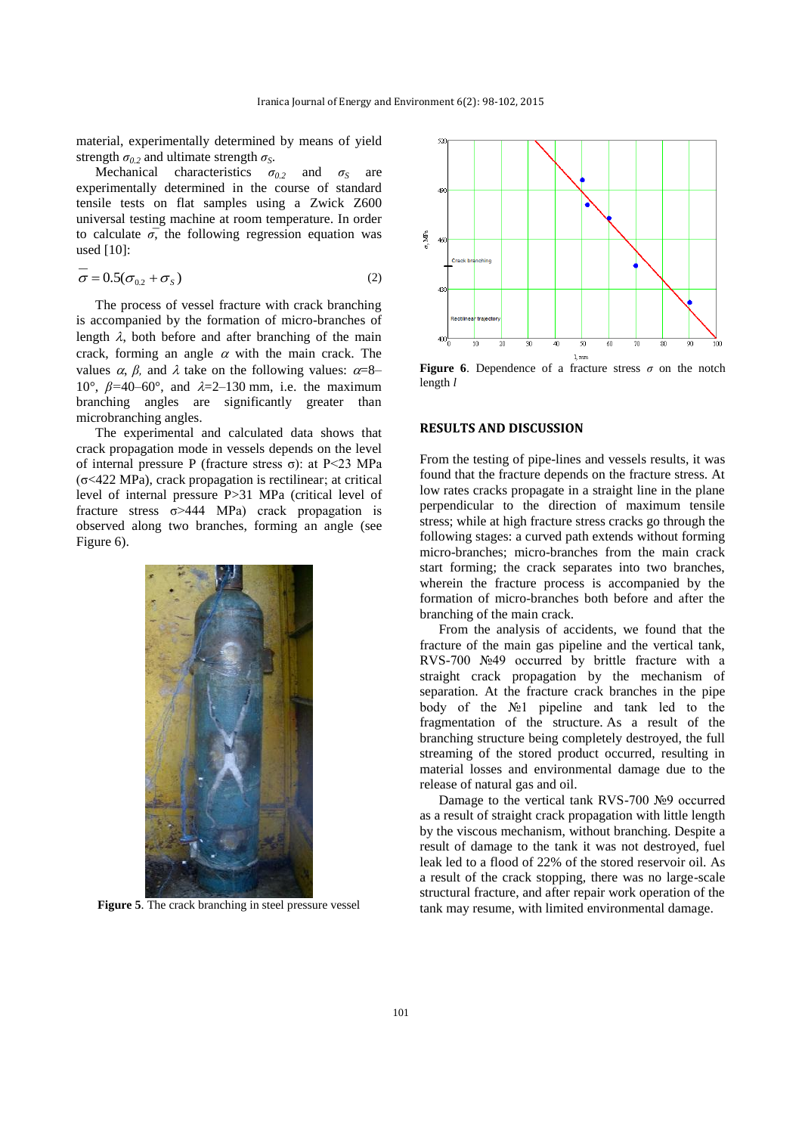material, experimentally determined by means of yield strength  $\sigma_0$  and ultimate strength  $\sigma_s$ .

Mechanical characteristics  $\sigma_{0.2}$  and  $\sigma_S$  are experimentally determined in the course of standard tensile tests on flat samples using a Zwick Z600 universal testing machine at room temperature. In order to calculate  $\sigma$ , the following regression equation was used [10]:

$$
\sigma = 0.5(\sigma_{0.2} + \sigma_s)
$$
 (2)

The process of vessel fracture with crack branching is accompanied by the formation of micro-branches of length  $\lambda$ , both before and after branching of the main crack, forming an angle  $\alpha$  with the main crack. The values  $\alpha$ , *β*, and  $\lambda$  take on the following values:  $\alpha = 8$ – 10°,  $\beta$ =40–60°, and  $\lambda$ =2–130 mm, i.e. the maximum branching angles are significantly greater than microbranching angles.

The experimental and calculated data shows that crack propagation mode in vessels depends on the level of internal pressure P (fracture stress  $\sigma$ ): at P<23 MPa (σ<422 MPa), crack propagation is rectilinear; at critical level of internal pressure P>31 MPa (critical level of fracture stress  $\sigma$ >444 MPa) crack propagation is observed along two branches, forming an angle (see Figure 6).



Figure 5. The crack branching in steel pressure vessel



**Figure 6**. Dependence of a fracture stress *σ* on the notch length *l*

#### **RESULTS AND DISCUSSION**

From the testing of pipe-lines and vessels results, it was found that the fracture depends on the fracture stress. At low rates cracks propagate in a straight line in the plane perpendicular to the direction of maximum tensile stress; while at high fracture stress cracks go through the following stages: a curved path extends without forming micro-branches; micro-branches from the main crack start forming; the crack separates into two branches, wherein the fracture process is accompanied by the formation of micro-branches both before and after the branching of the main crack.

From the analysis of accidents, we found that the fracture of the main gas pipeline and the vertical tank, RVS-700 №49 occurred by brittle fracture with a straight crack propagation by the mechanism of separation. At the fracture crack branches in the pipe body of the №1 pipeline and tank led to the fragmentation of the structure. As a result of the branching structure being completely destroyed, the full streaming of the stored product occurred, resulting in material losses and environmental damage due to the release of natural gas and oil.

Damage to the vertical tank RVS-700 №9 occurred as a result of straight crack propagation with little length by the viscous mechanism, without branching. Despite a result of damage to the tank it was not destroyed, fuel leak led to a flood of 22% of the stored reservoir oil. As a result of the crack stopping, there was no large-scale structural fracture, and after repair work operation of the tank may resume, with limited environmental damage.